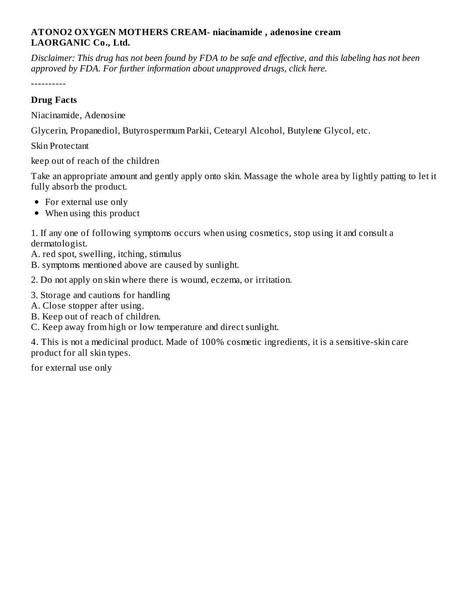#### **ATONO2 OXYGEN MOTHERS CREAM- niacinamide , adenosine cream LAORGANIC Co., Ltd.**

Disclaimer: This drug has not been found by FDA to be safe and effective, and this labeling has not been *approved by FDA. For further information about unapproved drugs, click here.*

----------

#### **Drug Facts**

Niacinamide, Adenosine

Glycerin, Propanediol, Butyrospermum Parkii, Cetearyl Alcohol, Butylene Glycol, etc.

Skin Protectant

keep out of reach of the children

Take an appropriate amount and gently apply onto skin. Massage the whole area by lightly patting to let it fully absorb the product.

- For external use only
- When using this product

1. If any one of following symptoms occurs when using cosmetics, stop using it and consult a dermatologist.

A. red spot, swelling, itching, stimulus

B. symptoms mentioned above are caused by sunlight.

2. Do not apply on skin where there is wound, eczema, or irritation.

- 3. Storage and cautions for handling
- A. Close stopper after using.
- B. Keep out of reach of children.
- C. Keep away from high or low temperature and direct sunlight.

4. This is not a medicinal product. Made of 100% cosmetic ingredients, it is a sensitive-skin care product for all skin types.

for external use only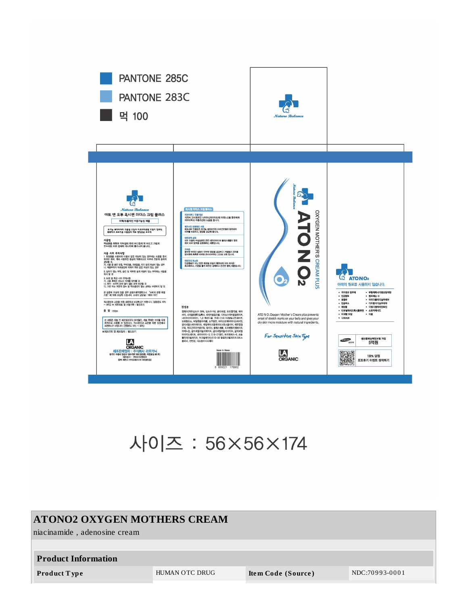

# 사이즈 : 56×56×174

#### **ATONO2 OXYGEN MOTHERS CREAM**

niacinamide, adenosine cream

#### **Product Information**

Product Type

HUMAN OTC DRUG

Item Code (Source)

NDC:70993-0001